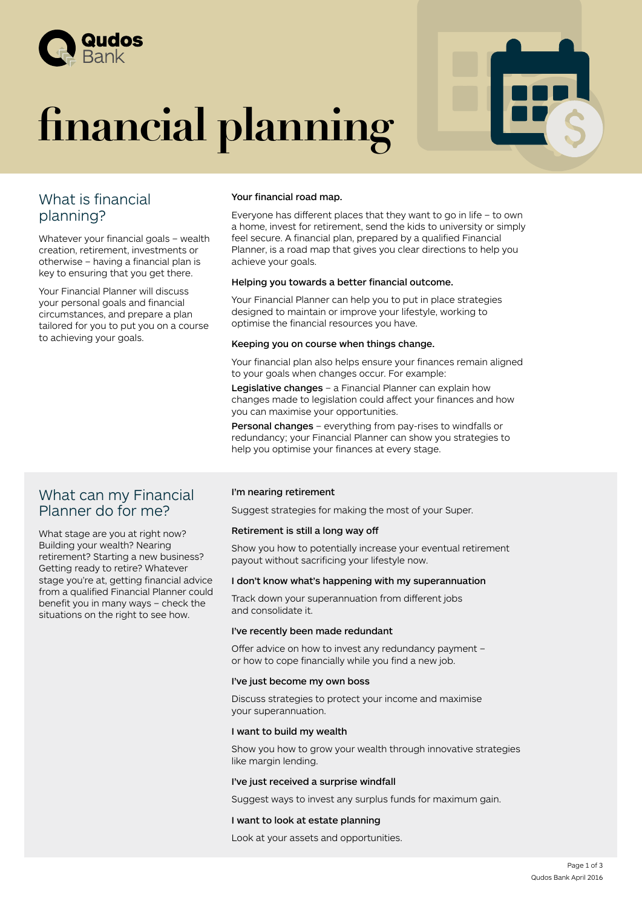

# **financial planning**

| <b>BBDL</b><br>ÆĎ |
|-------------------|
|                   |

## What is financial planning?

Whatever your financial goals – wealth creation, retirement, investments or otherwise – having a financial plan is key to ensuring that you get there.

Your Financial Planner will discuss your personal goals and financial circumstances, and prepare a plan tailored for you to put you on a course to achieving your goals.

### What can my Financial Planner do for me?

What stage are you at right now? Building your wealth? Nearing retirement? Starting a new business? Getting ready to retire? Whatever stage you're at, getting financial advice from a qualified Financial Planner could benefit you in many ways – check the situations on the right to see how.

#### Your financial road map.

Everyone has different places that they want to go in life – to own a home, invest for retirement, send the kids to university or simply feel secure. A financial plan, prepared by a qualified Financial Planner, is a road map that gives you clear directions to help you achieve your goals.

#### Helping you towards a better financial outcome.

Your Financial Planner can help you to put in place strategies designed to maintain or improve your lifestyle, working to optimise the financial resources you have.

#### Keeping you on course when things change.

Your financial plan also helps ensure your finances remain aligned to your goals when changes occur. For example:

Legislative changes – a Financial Planner can explain how changes made to legislation could affect your finances and how you can maximise your opportunities.

Personal changes – everything from pay-rises to windfalls or redundancy; your Financial Planner can show you strategies to help you optimise your finances at every stage.

#### I'm nearing retirement

Suggest strategies for making the most of your Super.

#### Retirement is still a long way off

Show you how to potentially increase your eventual retirement payout without sacrificing your lifestyle now.

#### I don't know what's happening with my superannuation

Track down your superannuation from different jobs and consolidate it.

#### I've recently been made redundant

Offer advice on how to invest any redundancy payment – or how to cope financially while you find a new job.

#### I've just become my own boss

Discuss strategies to protect your income and maximise your superannuation.

#### I want to build my wealth

Show you how to grow your wealth through innovative strategies like margin lending.

#### I've just received a surprise windfall

Suggest ways to invest any surplus funds for maximum gain.

#### I want to look at estate planning

Look at your assets and opportunities.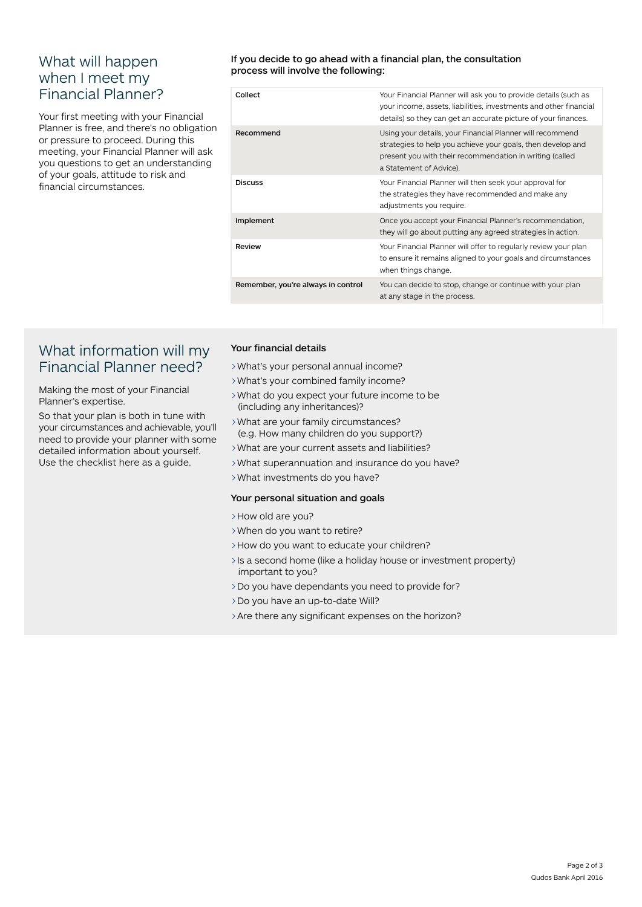## What will happen when I meet my Financial Planner?

Your first meeting with your Financial Planner is free, and there's no obligation or pressure to proceed. During this meeting, your Financial Planner will ask you questions to get an understanding of your goals, attitude to risk and financial circumstances.

#### If you decide to go ahead with a financial plan, the consultation process will involve the following:

| Collect                            | Your Financial Planner will ask you to provide details (such as<br>your income, assets, liabilities, investments and other financial<br>details) so they can get an accurate picture of your finances.          |
|------------------------------------|-----------------------------------------------------------------------------------------------------------------------------------------------------------------------------------------------------------------|
| Recommend                          | Using your details, your Financial Planner will recommend<br>strategies to help you achieve your goals, then develop and<br>present you with their recommendation in writing (called<br>a Statement of Advice). |
| <b>Discuss</b>                     | Your Financial Planner will then seek your approval for<br>the strategies they have recommended and make any<br>adjustments you require.                                                                        |
| Implement                          | Once you accept your Financial Planner's recommendation,<br>they will go about putting any agreed strategies in action.                                                                                         |
| Review                             | Your Financial Planner will offer to regularly review your plan<br>to ensure it remains aligned to your goals and circumstances<br>when things change.                                                          |
| Remember, you're always in control | You can decide to stop, change or continue with your plan<br>at any stage in the process.                                                                                                                       |
|                                    |                                                                                                                                                                                                                 |

## What information will my Financial Planner need?

Making the most of your Financial Planner's expertise.

So that your plan is both in tune with your circumstances and achievable, you'll need to provide your planner with some detailed information about yourself. Use the checklist here as a guide.

#### Your financial details

>What's your personal annual income?

- >What's your combined family income?
- >What do you expect your future income to be (including any inheritances)?
- >What are your family circumstances? (e.g. How many children do you support?)
- >What are your current assets and liabilities?
- >What superannuation and insurance do you have?
- >What investments do you have?

#### Your personal situation and goals

- >How old are you?
- >When do you want to retire?
- >How do you want to educate your children?
- >Is a second home (like a holiday house or investment property) important to you?
- >Do you have dependants you need to provide for?
- >Do you have an up-to-date Will?
- >Are there any significant expenses on the horizon?